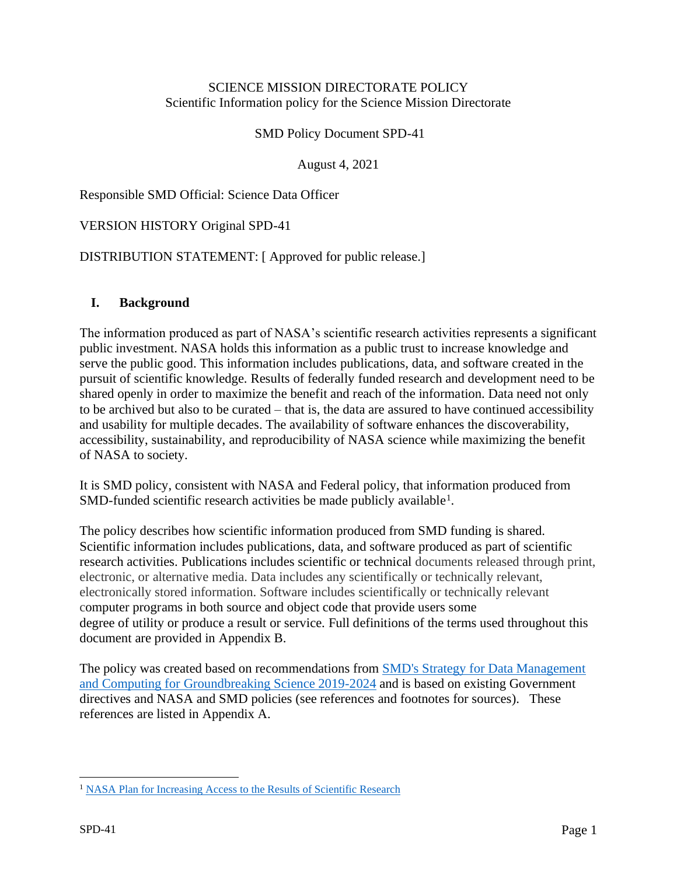### SCIENCE MISSION DIRECTORATE POLICY Scientific Information policy for the Science Mission Directorate

SMD Policy Document SPD-41

August 4, 2021

Responsible SMD Official: Science Data Officer

### VERSION HISTORY Original SPD-41

### DISTRIBUTION STATEMENT: [ Approved for public release.]

#### **I. Background**

The information produced as part of NASA's scientific research activities represents a significant public investment. NASA holds this information as a public trust to increase knowledge and serve the public good. This information includes publications, data, and software created in the pursuit of scientific knowledge. Results of federally funded research and development need to be shared openly in order to maximize the benefit and reach of the information. Data need not only to be archived but also to be curated – that is, the data are assured to have continued accessibility and usability for multiple decades. The availability of software enhances the discoverability, accessibility, sustainability, and reproducibility of NASA science while maximizing the benefit of NASA to society.

It is SMD policy, consistent with NASA and Federal policy, that information produced from SMD-funded scientific research activities be made publicly available<sup>1</sup>.

The policy describes how scientific information produced from SMD funding is shared. Scientific information includes publications, data, and software produced as part of scientific research activities. Publications includes scientific or technical documents released through print, electronic, or alternative media. Data includes any scientifically or technically relevant, electronically stored information. Software includes scientifically or technically relevant computer programs in both source and object code that provide users some degree of utility or produce a result or service. Full definitions of the terms used throughout this document are provided in Appendix B.

The policy was created based on recommendations from **SMD**'s Strategy for Data Management [and Computing for Groundbreaking Science 2019-2024](https://science.nasa.gov/files/science-pink/s3fs-public/atoms/files/SDMWG_Full%20Document_v3.pdf) and is based on existing Government directives and NASA and SMD policies (see references and footnotes for sources). These references are listed in Appendix A.

<sup>&</sup>lt;sup>1</sup> [NASA Plan for Increasing Access to the Results of Scientific Research](https://www.nasa.gov/sites/default/files/atoms/files/206985_2015_nasa_plan-for-web.pdf)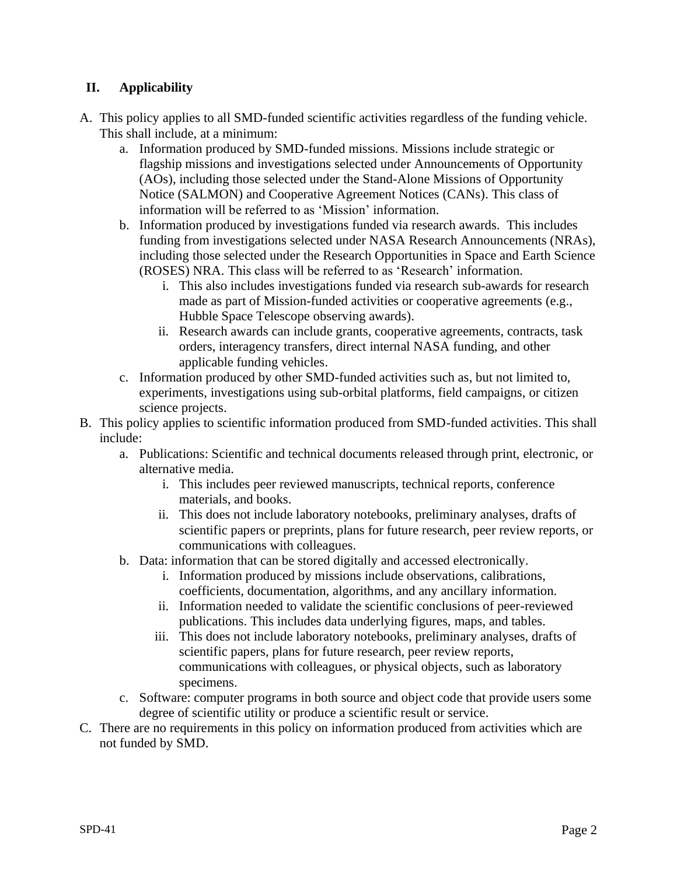# **II. Applicability**

- A. This policy applies to all SMD-funded scientific activities regardless of the funding vehicle. This shall include, at a minimum:
	- a. Information produced by SMD-funded missions. Missions include strategic or flagship missions and investigations selected under Announcements of Opportunity (AOs), including those selected under the Stand-Alone Missions of Opportunity Notice (SALMON) and Cooperative Agreement Notices (CANs). This class of information will be referred to as 'Mission' information.
	- b. Information produced by investigations funded via research awards. This includes funding from investigations selected under NASA Research Announcements (NRAs), including those selected under the Research Opportunities in Space and Earth Science (ROSES) NRA. This class will be referred to as 'Research' information.
		- i. This also includes investigations funded via research sub-awards for research made as part of Mission-funded activities or cooperative agreements (e.g., Hubble Space Telescope observing awards).
		- ii. Research awards can include grants, cooperative agreements, contracts, task orders, interagency transfers, direct internal NASA funding, and other applicable funding vehicles.
	- c. Information produced by other SMD-funded activities such as, but not limited to, experiments, investigations using sub-orbital platforms, field campaigns, or citizen science projects.
- B. This policy applies to scientific information produced from SMD-funded activities. This shall include:
	- a. Publications: Scientific and technical documents released through print, electronic, or alternative media.
		- i. This includes peer reviewed manuscripts, technical reports, conference materials, and books.
		- ii. This does not include laboratory notebooks, preliminary analyses, drafts of scientific papers or preprints, plans for future research, peer review reports, or communications with colleagues.
	- b. Data: information that can be stored digitally and accessed electronically.
		- i. Information produced by missions include observations, calibrations, coefficients, documentation, algorithms, and any ancillary information.
		- ii. Information needed to validate the scientific conclusions of peer-reviewed publications. This includes data underlying figures, maps, and tables.
		- iii. This does not include laboratory notebooks, preliminary analyses, drafts of scientific papers, plans for future research, peer review reports, communications with colleagues, or physical objects, such as laboratory specimens.
	- c. Software: computer programs in both source and object code that provide users some degree of scientific utility or produce a scientific result or service.
- C. There are no requirements in this policy on information produced from activities which are not funded by SMD.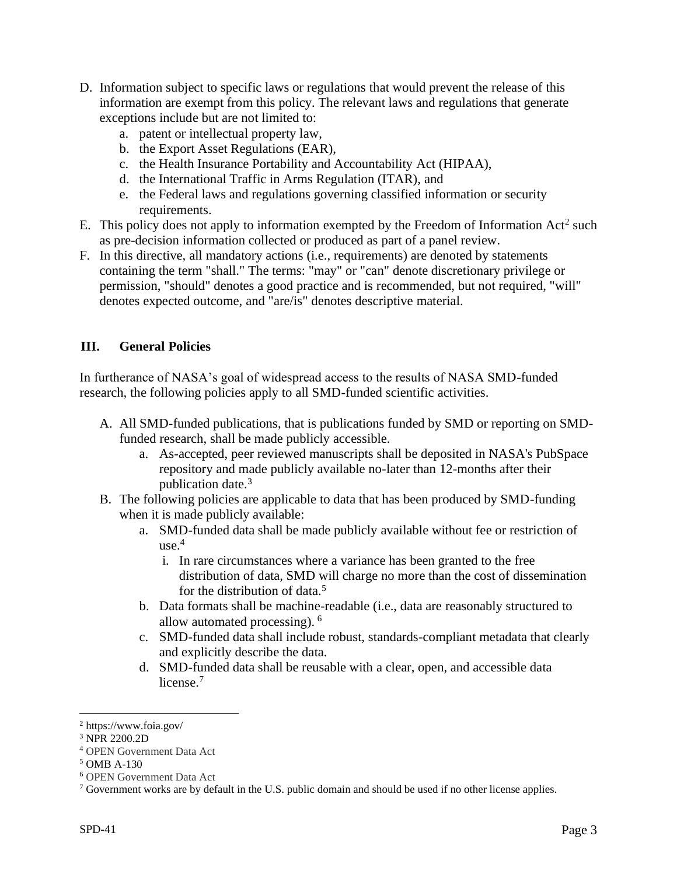- D. Information subject to specific laws or regulations that would prevent the release of this information are exempt from this policy. The relevant laws and regulations that generate exceptions include but are not limited to:
	- a. patent or intellectual property law,
	- b. the Export Asset Regulations (EAR),
	- c. the Health Insurance Portability and Accountability Act (HIPAA),
	- d. the International Traffic in Arms Regulation (ITAR), and
	- e. the Federal laws and regulations governing classified information or security requirements.
- E. This policy does not apply to information exempted by the Freedom of Information Act<sup>2</sup> such as pre-decision information collected or produced as part of a panel review.
- F. In this directive, all mandatory actions (i.e., requirements) are denoted by statements containing the term "shall." The terms: "may" or "can" denote discretionary privilege or permission, "should" denotes a good practice and is recommended, but not required, "will" denotes expected outcome, and "are/is" denotes descriptive material.

### **III. General Policies**

In furtherance of NASA's goal of widespread access to the results of NASA SMD-funded research, the following policies apply to all SMD-funded scientific activities.

- A. All SMD-funded publications, that is publications funded by SMD or reporting on SMDfunded research, shall be made publicly accessible.
	- a. As-accepted, peer reviewed manuscripts shall be deposited in NASA's PubSpace repository and made publicly available no-later than 12-months after their publication date.<sup>3</sup>
- B. The following policies are applicable to data that has been produced by SMD-funding when it is made publicly available:
	- a. SMD-funded data shall be made publicly available without fee or restriction of  $use.<sup>4</sup>$ 
		- i. In rare circumstances where a variance has been granted to the free distribution of data, SMD will charge no more than the cost of dissemination for the distribution of data.<sup>5</sup>
	- b. Data formats shall be machine-readable (i.e., data are reasonably structured to allow automated processing). <sup>6</sup>
	- c. SMD-funded data shall include robust, standards-compliant metadata that clearly and explicitly describe the data.
	- d. SMD-funded data shall be reusable with a clear, open, and accessible data license.<sup>7</sup>

<sup>2</sup> https://www.foia.gov/

<sup>3</sup> NPR 2200.2D

<sup>4</sup> OPEN Government Data Act

<sup>5</sup> OMB A-130

<sup>6</sup> OPEN Government Data Act

 $<sup>7</sup>$  Government works are by default in the U.S. public domain and should be used if no other license applies.</sup>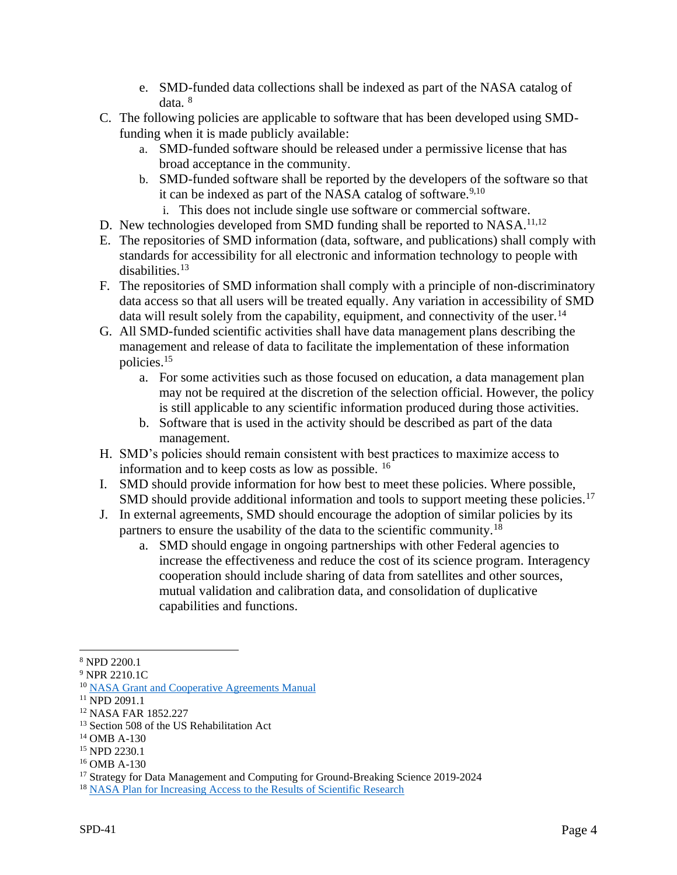- e. SMD-funded data collections shall be indexed as part of the NASA catalog of data. <sup>8</sup>
- C. The following policies are applicable to software that has been developed using SMDfunding when it is made publicly available:
	- a. SMD-funded software should be released under a permissive license that has broad acceptance in the community.
	- b. SMD-funded software shall be reported by the developers of the software so that it can be indexed as part of the NASA catalog of software. $9,10$ 
		- i. This does not include single use software or commercial software.
- D. New technologies developed from SMD funding shall be reported to NASA.<sup>11,12</sup>
- E. The repositories of SMD information (data, software, and publications) shall comply with standards for accessibility for all electronic and information technology to people with disabilities.<sup>13</sup>
- F. The repositories of SMD information shall comply with a principle of non-discriminatory data access so that all users will be treated equally. Any variation in accessibility of SMD data will result solely from the capability, equipment, and connectivity of the user.<sup>14</sup>
- G. All SMD-funded scientific activities shall have data management plans describing the management and release of data to facilitate the implementation of these information policies.<sup>15</sup>
	- a. For some activities such as those focused on education, a data management plan may not be required at the discretion of the selection official. However, the policy is still applicable to any scientific information produced during those activities.
	- b. Software that is used in the activity should be described as part of the data management.
- H. SMD's policies should remain consistent with best practices to maximize access to information and to keep costs as low as possible. <sup>16</sup>
- I. SMD should provide information for how best to meet these policies. Where possible, SMD should provide additional information and tools to support meeting these policies.<sup>17</sup>
- J. In external agreements, SMD should encourage the adoption of similar policies by its partners to ensure the usability of the data to the scientific community.<sup>18</sup>
	- a. SMD should engage in ongoing partnerships with other Federal agencies to increase the effectiveness and reduce the cost of its science program. Interagency cooperation should include sharing of data from satellites and other sources, mutual validation and calibration data, and consolidation of duplicative capabilities and functions.

<sup>8</sup> NPD 2200.1

<sup>9</sup> NPR 2210.1C

<sup>10</sup> [NASA Grant and Cooperative Agreements Manual](https://www.nasa.gov/offices/ocfo/gpc/regulations_and_guidance)

<sup>11</sup> NPD 2091.1

<sup>12</sup> NASA FAR 1852.227

<sup>&</sup>lt;sup>13</sup> Section 508 of the US Rehabilitation Act

<sup>14</sup> OMB A-130

<sup>15</sup> NPD 2230.1

<sup>16</sup> OMB A-130

<sup>&</sup>lt;sup>17</sup> Strategy for Data Management and Computing for Ground-Breaking Science 2019-2024

<sup>&</sup>lt;sup>18</sup> [NASA Plan for Increasing Access to the Results of Scientific Research](https://www.nasa.gov/sites/default/files/atoms/files/206985_2015_nasa_plan-for-web.pdf)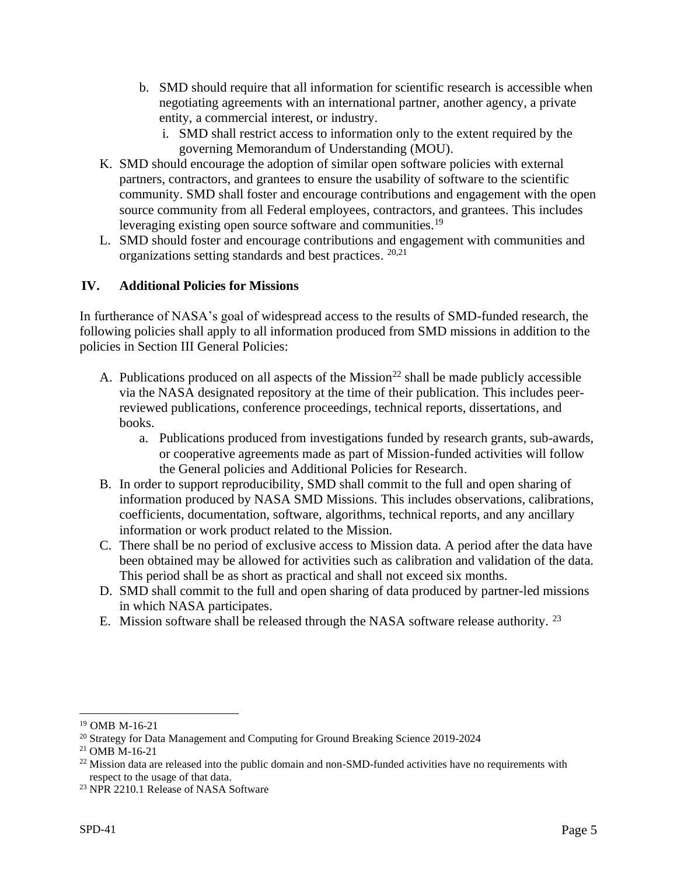- b. SMD should require that all information for scientific research is accessible when negotiating agreements with an international partner, another agency, a private entity, a commercial interest, or industry.
	- i. SMD shall restrict access to information only to the extent required by the governing Memorandum of Understanding (MOU).
- K. SMD should encourage the adoption of similar open software policies with external partners, contractors, and grantees to ensure the usability of software to the scientific community. SMD shall foster and encourage contributions and engagement with the open source community from all Federal employees, contractors, and grantees. This includes leveraging existing open source software and communities.<sup>19</sup>
- L. SMD should foster and encourage contributions and engagement with communities and organizations setting standards and best practices. 20,21

# **IV. Additional Policies for Missions**

In furtherance of NASA's goal of widespread access to the results of SMD-funded research, the following policies shall apply to all information produced from SMD missions in addition to the policies in Section III General Policies:

- A. Publications produced on all aspects of the Mission<sup>22</sup> shall be made publicly accessible via the NASA designated repository at the time of their publication. This includes peerreviewed publications, conference proceedings, technical reports, dissertations, and books.
	- a. Publications produced from investigations funded by research grants, sub-awards, or cooperative agreements made as part of Mission-funded activities will follow the General policies and Additional Policies for Research.
- B. In order to support reproducibility, SMD shall commit to the full and open sharing of information produced by NASA SMD Missions. This includes observations, calibrations, coefficients, documentation, software, algorithms, technical reports, and any ancillary information or work product related to the Mission.
- C. There shall be no period of exclusive access to Mission data. A period after the data have been obtained may be allowed for activities such as calibration and validation of the data. This period shall be as short as practical and shall not exceed six months.
- D. SMD shall commit to the full and open sharing of data produced by partner-led missions in which NASA participates.
- E. Mission software shall be released through the NASA software release authority.<sup>23</sup>

<sup>19</sup> OMB M-16-21

<sup>20</sup> Strategy for Data Management and Computing for Ground Breaking Science 2019-2024

 $^{21}$  OMB M-16-21

<sup>&</sup>lt;sup>22</sup> Mission data are released into the public domain and non-SMD-funded activities have no requirements with respect to the usage of that data.

<sup>&</sup>lt;sup>23</sup> NPR 2210.1 Release of NASA Software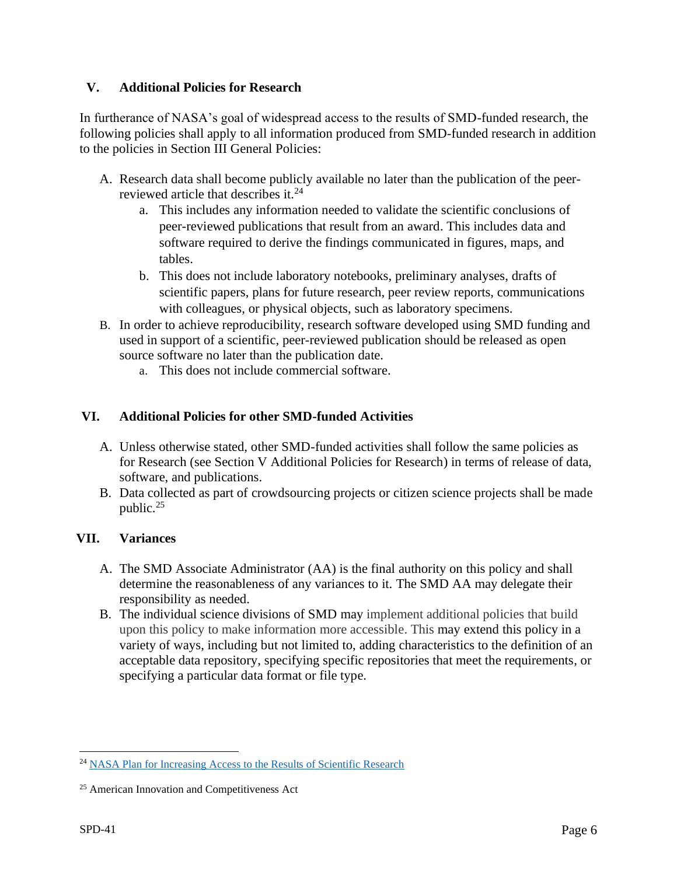## **V. Additional Policies for Research**

In furtherance of NASA's goal of widespread access to the results of SMD-funded research, the following policies shall apply to all information produced from SMD-funded research in addition to the policies in Section III General Policies:

- A. Research data shall become publicly available no later than the publication of the peerreviewed article that describes it. 24
	- a. This includes any information needed to validate the scientific conclusions of peer-reviewed publications that result from an award. This includes data and software required to derive the findings communicated in figures, maps, and tables.
	- b. This does not include laboratory notebooks, preliminary analyses, drafts of scientific papers, plans for future research, peer review reports, communications with colleagues, or physical objects, such as laboratory specimens.
- B. In order to achieve reproducibility, research software developed using SMD funding and used in support of a scientific, peer-reviewed publication should be released as open source software no later than the publication date.
	- a. This does not include commercial software.

## **VI. Additional Policies for other SMD-funded Activities**

- A. Unless otherwise stated, other SMD-funded activities shall follow the same policies as for Research (see Section V Additional Policies for Research) in terms of release of data, software, and publications.
- B. Data collected as part of crowdsourcing projects or citizen science projects shall be made public.<sup>25</sup>

## **VII. Variances**

- A. The SMD Associate Administrator (AA) is the final authority on this policy and shall determine the reasonableness of any variances to it. The SMD AA may delegate their responsibility as needed.
- B. The individual science divisions of SMD may implement additional policies that build upon this policy to make information more accessible. This may extend this policy in a variety of ways, including but not limited to, adding characteristics to the definition of an acceptable data repository, specifying specific repositories that meet the requirements, or specifying a particular data format or file type.

<sup>24</sup> [NASA Plan for Increasing Access to the Results of Scientific Research](https://www.nasa.gov/sites/default/files/atoms/files/206985_2015_nasa_plan-for-web.pdf)

<sup>25</sup> American Innovation and Competitiveness Act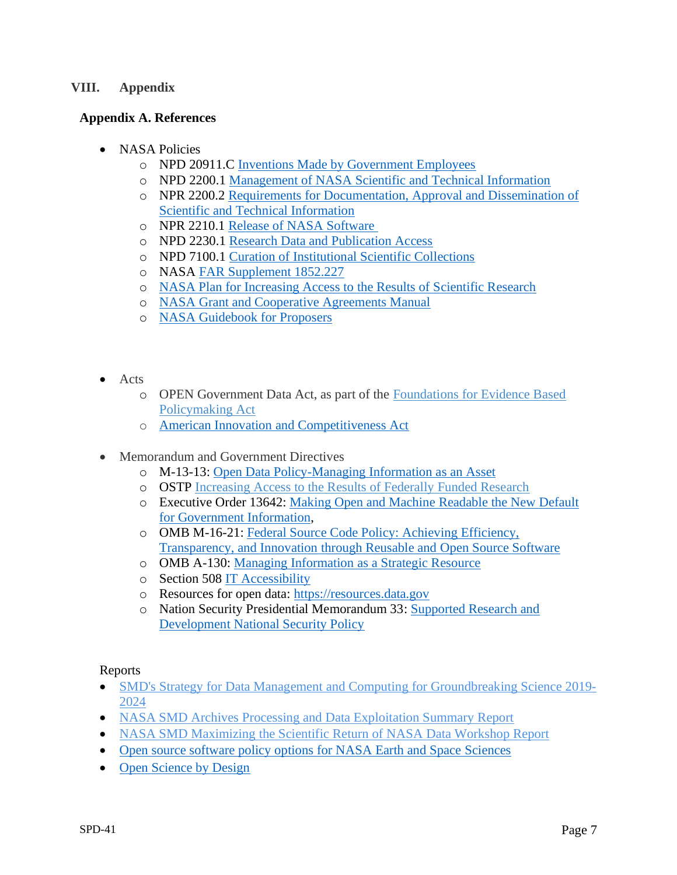#### **VIII. Appendix**

### **Appendix A. References**

- NASA Policies
	- o NPD 20911.C [Inventions Made by Government Employees](https://nodis3.gsfc.nasa.gov/displayDir.cfm?t=NPD&c=2091&s=1B)
	- o NPD 2200.1 [Management of NASA Scientific and Technical Information](https://nodis3.gsfc.nasa.gov/displayDir.cfm?t=NPD&c=2200&s=1D)
	- o NPR 2200.2 [Requirements for Documentation, Approval and Dissemination of](https://nodis3.gsfc.nasa.gov/displayDir.cfm?t=NPR&c=2200&s=2D)  [Scientific and Technical Information](https://nodis3.gsfc.nasa.gov/displayDir.cfm?t=NPR&c=2200&s=2D)
	- o NPR 2210.1 [Release of NASA Software](https://nodis3.gsfc.nasa.gov/displayDir.cfm?Internal_ID=N_PR_2210_001C_&page_name=Preface)
	- o NPD 2230.1 [Research Data and Publication Access](https://nodis3.gsfc.nasa.gov/displayDir.cfm?t=NPD&c=2230&s=1)
	- o NPD 7100.1 [Curation of Institutional Scientific Collections](https://nodis3.gsfc.nasa.gov/displayDir.cfm?t=NPD&c=7100&s=10F)
	- o NASA [FAR Supplement 1852.227](https://www.nasa.gov/pdf/531752main_NASA%20Procurment%20Regs%20Relating%20to%20Patents%20and%20Copyrights.pdf)
	- o [NASA Plan for Increasing Access to the Results of Scientific Research](https://science.nasa.gov/science-red/s3fs-public/atoms/files/NASA_Plan_for_increasing_access_to_results_of_federally_funded_research1.pdf)
	- o [NASA Grant and Cooperative Agreements Manual](https://www.nasa.gov/offices/ocfo/gpc/regulations_and_guidance)
	- o [NASA Guidebook for Proposers](https://www.nasa.gov/offices/ocfo/gpc/regulations_and_guidance)
- Acts
	- o OPEN Government Data Act, as part of the [Foundations for Evidence Based](https://www.congress.gov/bill/115th-congress/house-bill/4174/text#toc-H8E449FBAEFA34E45A6F1F20EFB13ED95)  [Policymaking Act](https://www.congress.gov/bill/115th-congress/house-bill/4174/text#toc-H8E449FBAEFA34E45A6F1F20EFB13ED95)
	- o [American Innovation and Competitiveness Act](https://www.congress.gov/bill/114th-congress/senate-bill/3084?q=%7B%22search%22%3A%5B%22cite%3APL114-329%22%5D%7D&r=1&s=1)
- Memorandum and Government Directives
	- o M-13-13: [Open Data Policy-Managing Information as an Asset](https://www.whitehouse.gov/sites/whitehouse.gov/files/omb/memoranda/2013/m-13-13.pdf)
	- o OSTP [Increasing Access to the Results of Federally Funded Research](https://obamawhitehouse.archives.gov/sites/default/files/microsites/ostp/ostp_public_access_memo_2013.pdf)
	- o Executive Order 13642: [Making Open and Machine Readable the New Default](https://www.govinfo.gov/content/pkg/CFR-2014-title3-vol1/pdf/CFR-2014-title3-vol1-eo13642.pdf)  [for Government Information,](https://www.govinfo.gov/content/pkg/CFR-2014-title3-vol1/pdf/CFR-2014-title3-vol1-eo13642.pdf)
	- o OMB M-16-21: [Federal Source Code Policy: Achieving Efficiency,](https://www.whitehouse.gov/sites/whitehouse.gov/files/omb/memoranda/2016/m_16_21.pdf)  [Transparency, and Innovation through Reusable and Open Source Software](https://www.whitehouse.gov/sites/whitehouse.gov/files/omb/memoranda/2016/m_16_21.pdf)
	- o OMB A-130: [Managing Information as a Strategic Resource](https://obamawhitehouse.archives.gov/sites/default/files/omb/assets/OMB/circulars/a130/a130revised.pdf)
	- o Section 508 [IT Accessibility](https://www.section508.gov/)
	- o Resources for open data: [https://resources.data.gov](https://resources.data.gov/)
	- o Nation Security Presidential Memorandum 33: [Supported Research and](https://trumpwhitehouse.archives.gov/presidential-actions/presidential-memorandum-united-states-government-supported-research-development-national-security-policy/)  [Development National Security Policy](https://trumpwhitehouse.archives.gov/presidential-actions/presidential-memorandum-united-states-government-supported-research-development-national-security-policy/)

Reports

- SMD's Strategy for Data Management and Computing for [Groundbreaking](https://science.nasa.gov/files/science-red/s3fs-public/atoms/files/SDMWG_Full%20Document_v3.pdf) Science 2019-[2024](https://science.nasa.gov/files/science-red/s3fs-public/atoms/files/SDMWG_Full%20Document_v3.pdf)
- NASA SMD Archives Processing and Data [Exploitation](https://science.nasa.gov/files/science-red/s3fs-public/atoms/files/NASA%20SMD%20Archives%20Processing%20and%20Data%20Exploitation%20Summary%20Report.pdf) Summary Report
- NASA SMD [Maximizing](https://science.nasa.gov/files/science-red/s3fs-public/atoms/files/NASA%20SMD%20Maximizing%20the%20Scientific%20Return%20of%20NASA%20Data%20Workshop%20Report.pdf) the Scientific Return of NASA Data Workshop Report
- [Open source software policy options for NASA Earth and Space Sciences](https://www.nap.edu/catalog/25217/open-source-software-policy-options-for-nasa-earth-and-space-sciences)
- [Open Science by Design](https://www.nap.edu/catalog/25116/open-science-by-design-realizing-a-vision-for-21st-century)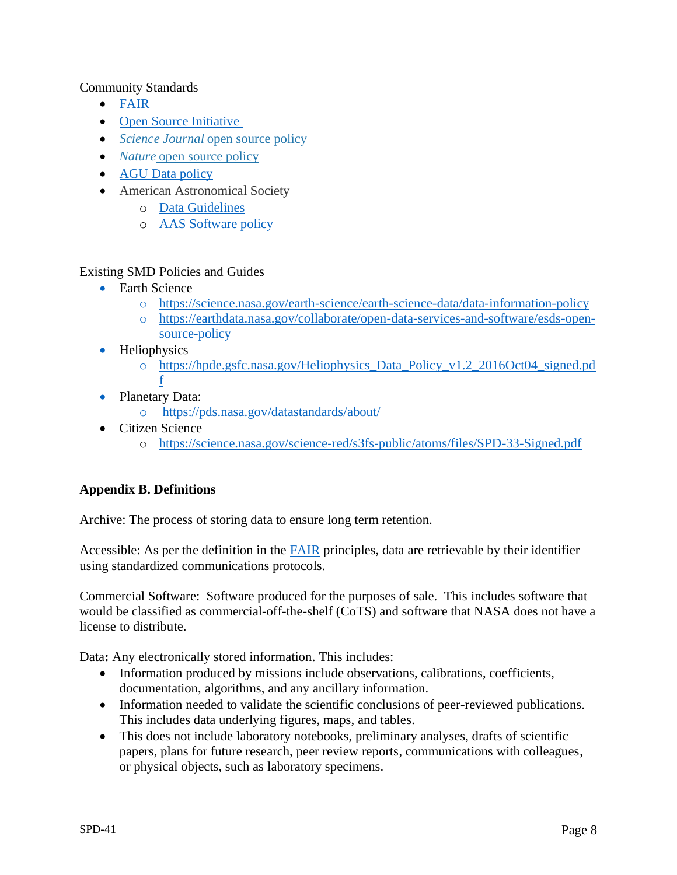### Community Standards

- [FAIR](https://www.go-fair.org/fair-principles/)
- [Open Source Initiative](https://opensource.org/)
- *Science Journal* [open source policy](http://www.sciencemag.org/authors/science-editorial-policies)
- *Nature* [open source policy](http://www.nature.com/authors/policies/availability.html#code)
- [AGU Data policy](https://www.agu.org/Publish-with-AGU/Publish/Author-Resources/Policies/Data-policy)
- American Astronomical Society
	- o [Data Guidelines](https://journals.aas.org/data-guide/)
	- o [AAS Software policy](https://journals.aas.org/policy-statement-on-software/)

### Existing SMD Policies and Guides

- Earth Science
	- o <https://science.nasa.gov/earth-science/earth-science-data/data-information-policy>
	- o [https://earthdata.nasa.gov/collaborate/open-data-services-and-software/esds-open](https://earthdata.nasa.gov/collaborate/open-data-services-and-software/esds-open-source-policy)[source-policy](https://earthdata.nasa.gov/collaborate/open-data-services-and-software/esds-open-source-policy)
- Heliophysics
	- o [https://hpde.gsfc.nasa.gov/Heliophysics\\_Data\\_Policy\\_v1.2\\_2016Oct04\\_signed.pd](https://hpde.gsfc.nasa.gov/Heliophysics_Data_Policy_v1.2_2016Oct04_signed.pdf) [f](https://hpde.gsfc.nasa.gov/Heliophysics_Data_Policy_v1.2_2016Oct04_signed.pdf)
- Planetary Data:
	- o <https://pds.nasa.gov/datastandards/about/>
- Citizen Science
	- o https://science.nasa.gov/science-red/s3fs-public/atoms/files/SPD-33-Signed.pdf

## **Appendix B. Definitions**

Archive: The process of storing data to ensure long term retention.

Accessible: As per the definition in the [FAIR](https://www.go-fair.org/fair-principles/) principles, data are retrievable by their identifier using standardized communications protocols.

Commercial Software: Software produced for the purposes of sale. This includes software that would be classified as commercial-off-the-shelf (CoTS) and software that NASA does not have a license to distribute.

Data**:** Any electronically stored information. This includes:

- Information produced by missions include observations, calibrations, coefficients, documentation, algorithms, and any ancillary information.
- Information needed to validate the scientific conclusions of peer-reviewed publications. This includes data underlying figures, maps, and tables.
- This does not include laboratory notebooks, preliminary analyses, drafts of scientific papers, plans for future research, peer review reports, communications with colleagues, or physical objects, such as laboratory specimens.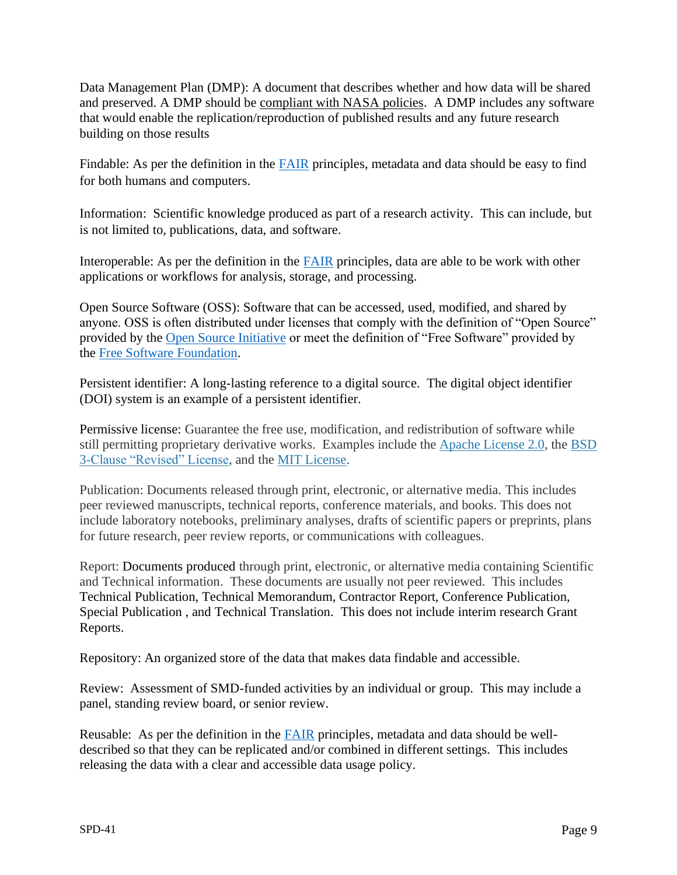Data Management Plan (DMP): A document that describes whether and how data will be shared and preserved. A DMP should be [compliant with NASA policies.](https://www.nasa.gov/open/researchaccess/data-mgmt) A DMP includes any software that would enable the replication/reproduction of published results and any future research building on those results

Findable: As per the definition in the [FAIR](https://www.go-fair.org/fair-principles/) principles, metadata and data should be easy to find for both humans and computers.

Information: Scientific knowledge produced as part of a research activity. This can include, but is not limited to, publications, data, and software.

Interoperable: As per the definition in the [FAIR](https://www.go-fair.org/fair-principles/) principles, data are able to be work with other applications or workflows for analysis, storage, and processing.

Open Source Software (OSS): Software that can be accessed, used, modified, and shared by anyone. OSS is often distributed under licenses that comply with the definition of "Open Source" provided by the [Open Source Initiative](https://opensource.org/osd) or meet the definition of "Free Software" provided by the [Free Software Foundation.](https://www.gnu.org/philosophy/free-sw.html)

Persistent identifier: A long-lasting reference to a digital source. The digital object identifier (DOI) system is an example of a persistent identifier.

Permissive license: Guarantee the free use, modification, and redistribution of software while still permitting proprietary derivative works. Examples include the [Apache License 2.0,](https://opensource.org/licenses/Apache-2.0) the [BSD](https://opensource.org/licenses/BSD-3-Clause)  [3-Clause "Revised" License,](https://opensource.org/licenses/BSD-3-Clause) and the [MIT License.](https://opensource.org/licenses/MIT)

Publication: Documents released through print, electronic, or alternative media. This includes peer reviewed manuscripts, technical reports, conference materials, and books. This does not include laboratory notebooks, preliminary analyses, drafts of scientific papers or preprints, plans for future research, peer review reports, or communications with colleagues.

Report: Documents produced through print, electronic, or alternative media containing Scientific and Technical information. These documents are usually not peer reviewed. This includes Technical Publication, Technical Memorandum, Contractor Report, Conference Publication, Special Publication , and Technical Translation. This does not include interim research Grant Reports.

Repository: An organized store of the data that makes data findable and accessible.

Review: Assessment of SMD-funded activities by an individual or group. This may include a panel, standing review board, or senior review.

Reusable: As per the definition in the [FAIR](https://www.go-fair.org/fair-principles/) principles, metadata and data should be welldescribed so that they can be replicated and/or combined in different settings. This includes releasing the data with a clear and accessible data usage policy.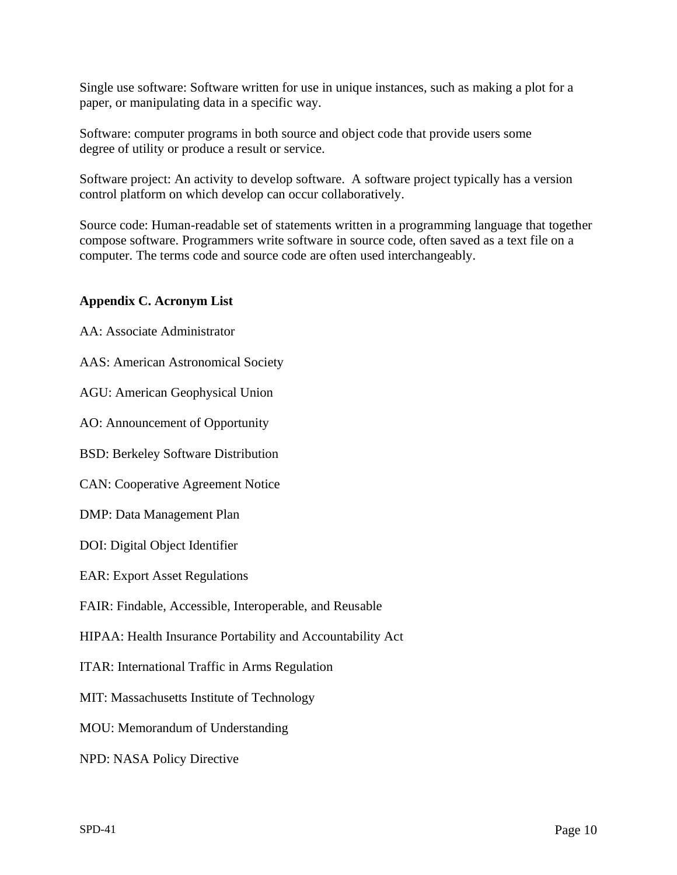Single use software: Software written for use in unique instances, such as making a plot for a paper, or manipulating data in a specific way.

Software: computer programs in both source and object code that provide users some degree of utility or produce a result or service.

Software project: An activity to develop software. A software project typically has a version control platform on which develop can occur collaboratively.

Source code: Human-readable set of statements written in a programming language that together compose software. Programmers write software in source code, often saved as a text file on a computer. The terms code and source code are often used interchangeably.

## **Appendix C. Acronym List**

AA: Associate Administrator

AAS: American Astronomical Society

AGU: American Geophysical Union

AO: Announcement of Opportunity

BSD: Berkeley Software Distribution

CAN: Cooperative Agreement Notice

DMP: Data Management Plan

DOI: Digital Object Identifier

EAR: Export Asset Regulations

FAIR: Findable, Accessible, Interoperable, and Reusable

HIPAA: Health Insurance Portability and Accountability Act

ITAR: International Traffic in Arms Regulation

MIT: Massachusetts Institute of Technology

MOU: Memorandum of Understanding

NPD: NASA Policy Directive